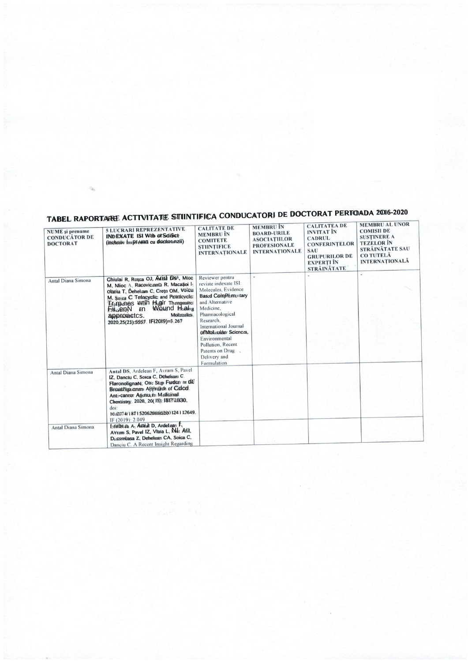| <b>NUME</b> și prenume<br><b>CONDUCĂTOR DE</b><br><b>DOCTORAT</b> | <b>5 LUCRARI REPREZENTATIVE</b><br>INDEXATE ISI With of Sciffict<br>(inclusiv Impreună cu doctoranzii)                                                                                                                                                                                                            | <b>CALITATE DE</b><br><b>MEMBRU</b> IN<br><b>COMITETE</b><br><b>STIINTIFICE</b><br><b>INTERNATIONALE</b>                                                                                                                                                                                                 | <b>MEMBRU IN</b><br><b>BOARD-URILE</b><br><b>ASOCIATIILOR</b><br><b>PROFESIONALE</b><br><b>INTERNATIONALE</b> | <b>CALITATEA DE</b><br><b>INVITAT</b> IN<br><b>CADRUL</b><br><b>CONFERINTELOR</b><br><b>SAU</b><br><b>GRUPURILOR DE</b><br><b>EXPERTI</b> ÎN<br><b>STRÁINÁTATE</b> | <b>MEMBRU AL UNOR</b><br><b>COMISII DE</b><br><b>SUSTINERE A</b><br><b>TEZELOR</b> IN<br>STRĂINĂTATE SAU<br><b>CO TUTELĂ</b><br><b>INTERNATIONALA</b> |
|-------------------------------------------------------------------|-------------------------------------------------------------------------------------------------------------------------------------------------------------------------------------------------------------------------------------------------------------------------------------------------------------------|----------------------------------------------------------------------------------------------------------------------------------------------------------------------------------------------------------------------------------------------------------------------------------------------------------|---------------------------------------------------------------------------------------------------------------|--------------------------------------------------------------------------------------------------------------------------------------------------------------------|-------------------------------------------------------------------------------------------------------------------------------------------------------|
| Antal Diana Simona                                                | Chiulai R, Rotea OJ, Artial D's <sup>4</sup> , Mroc<br>M. Nitoc A. RacovictanD R. Maca\$oi I-<br>Ollariu T. Dehelcan C. Cretn OM, Volcu<br>M. Solea C Tefacyclic and Potrtlcvclo<br>Titurpines with High Thrapeutic<br>Eilicien N im Wound Healig<br>Molecules.<br>approactcs.<br>2020.25(23):5557 IFI2019)=8.267 | Reviewer pentru<br>reviste indexate ISI:<br>Molecules, Evidence<br><b>Based ComPrimentary</b><br>and Alternative<br>Medicine,<br>Pharmacological<br>Research.<br>International Journal<br>of Molecular Sciences,<br>Environmental<br>Pollution, Recent<br>Patents on Drug<br>Delivery and<br>Formulation |                                                                                                               |                                                                                                                                                                    |                                                                                                                                                       |
| Antal Diana Simona                                                | Antal DS, Ardelean F, Avram S, Pavel<br>IZ. Danctu C. Sorea C. Dehelean C.<br>FlaronolignaN; Otre Step Fuder in dt<br>Broad spenm APPr@dr of Cdcd<br>Anti-cancer Asents, in Medicinal<br>Circmistry. 2020, 20(15): 1817'4830.<br>$doi$ :<br>10.217 4/18715206206562000 t24 1 h7649.<br>IF (2019): 2.049           |                                                                                                                                                                                                                                                                                                          |                                                                                                               |                                                                                                                                                                    |                                                                                                                                                       |
| Antal Diana Simona                                                | Lortbriai A, Amial D, Ardeliam F.<br>AYram S. Pavel IZ, VIsra L. Nut All.<br>Dicon€asa Z, Deheleam CA, Soica C.<br>Danciu C. A Recent Insight Regarding                                                                                                                                                           |                                                                                                                                                                                                                                                                                                          |                                                                                                               |                                                                                                                                                                    |                                                                                                                                                       |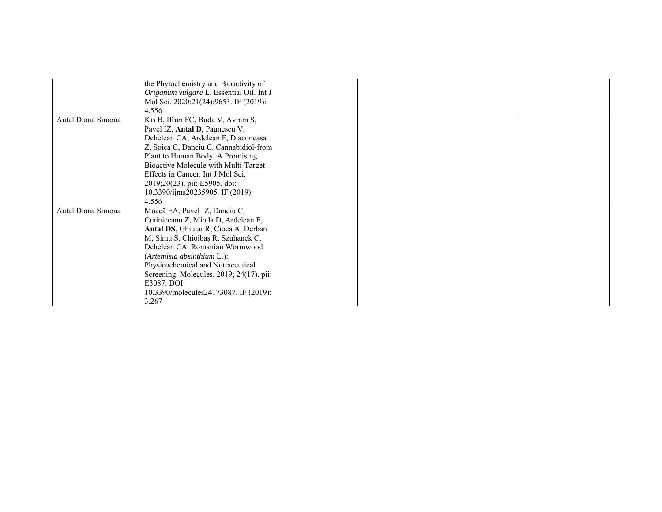|                    | the Phytochemistry and Bioactivity of    |  |  |
|--------------------|------------------------------------------|--|--|
|                    | Origanum vulgare L. Essential Oil. Int J |  |  |
|                    | Mol Sci. 2020;21(24):9653. IF (2019):    |  |  |
|                    | 4.556                                    |  |  |
| Antal Diana Simona | Kis B, Ifrim FC, Buda V, Avram S,        |  |  |
|                    | Pavel IZ, Antal D, Paunescu V,           |  |  |
|                    | Dehelean CA, Ardelean F, Diaconeasa      |  |  |
|                    | Z, Soica C, Danciu C. Cannabidiol-from   |  |  |
|                    | Plant to Human Body: A Promising         |  |  |
|                    | Bioactive Molecule with Multi-Target     |  |  |
|                    | Effects in Cancer. Int J Mol Sci.        |  |  |
|                    | 2019;20(23). pii: E5905. doi:            |  |  |
|                    | 10.3390/ijms20235905. IF (2019):         |  |  |
|                    | 4.556                                    |  |  |
| Antal Diana Simona | Moacă EA, Pavel IZ, Danciu C,            |  |  |
|                    | Crăiniceanu Z, Minda D, Ardelean F,      |  |  |
|                    | Antal DS, Ghiulai R, Cioca A, Derban     |  |  |
|                    | M, Simu S, Chioibas R, Szuhanek C,       |  |  |
|                    | Dehelean CA. Romanian Wormwood           |  |  |
|                    | (Artemisia absinthium L.):               |  |  |
|                    | Physicochemical and Nutraceutical        |  |  |
|                    | Screening. Molecules. 2019; 24(17). pii: |  |  |
|                    | E3087. DOI:                              |  |  |
|                    | 10.3390/molecules24173087. IF (2019):    |  |  |
|                    | 3.267                                    |  |  |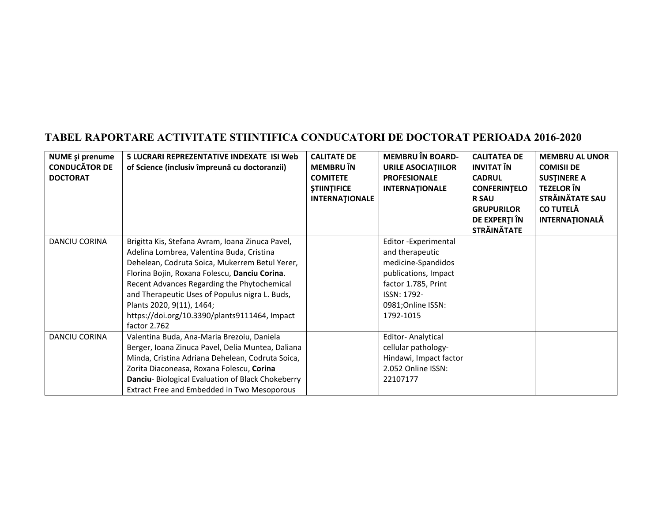| <b>NUME</b> și prenume<br><b>CONDUCĂTOR DE</b><br><b>DOCTORAT</b> | 5 LUCRARI REPREZENTATIVE INDEXATE ISI Web<br>of Science (inclusiv împreună cu doctoranzii)                                                                                                                                                                                                                                                                                                      | <b>CALITATE DE</b><br><b>MEMBRU</b> ÎN<br><b>COMITETE</b><br><b><i>ȘTIINȚIFICE</i></b><br><b>INTERNATIONALE</b> | <b>MEMBRU ÎN BOARD-</b><br><b>URILE ASOCIATIILOR</b><br><b>PROFESIONALE</b><br><b>INTERNATIONALE</b>                                                         | <b>CALITATEA DE</b><br><b>INVITAT ÎN</b><br><b>CADRUL</b><br><b>CONFERINTELO</b><br><b>R SAU</b><br><b>GRUPURILOR</b><br>DE EXPERȚI ÎN<br><b>STRĂINĂTATE</b> | <b>MEMBRU AL UNOR</b><br><b>COMISII DE</b><br><b>SUSTINERE A</b><br><b>TEZELOR ÎN</b><br>STRĂINĂTATE SAU<br><b>CO TUTELĂ</b><br><b>INTERNATIONALĂ</b> |
|-------------------------------------------------------------------|-------------------------------------------------------------------------------------------------------------------------------------------------------------------------------------------------------------------------------------------------------------------------------------------------------------------------------------------------------------------------------------------------|-----------------------------------------------------------------------------------------------------------------|--------------------------------------------------------------------------------------------------------------------------------------------------------------|--------------------------------------------------------------------------------------------------------------------------------------------------------------|-------------------------------------------------------------------------------------------------------------------------------------------------------|
| <b>DANCIU CORINA</b>                                              | Brigitta Kis, Stefana Avram, Ioana Zinuca Pavel,<br>Adelina Lombrea, Valentina Buda, Cristina<br>Dehelean, Codruta Soica, Mukerrem Betul Yerer,<br>Florina Bojin, Roxana Folescu, Danciu Corina.<br>Recent Advances Regarding the Phytochemical<br>and Therapeutic Uses of Populus nigra L. Buds,<br>Plants 2020, 9(11), 1464;<br>https://doi.org/10.3390/plants9111464, Impact<br>factor 2.762 |                                                                                                                 | Editor-Experimental<br>and therapeutic<br>medicine-Spandidos<br>publications, Impact<br>factor 1.785, Print<br>ISSN: 1792-<br>0981;Online ISSN:<br>1792-1015 |                                                                                                                                                              |                                                                                                                                                       |
| DANCIU CORINA                                                     | Valentina Buda, Ana-Maria Brezoiu, Daniela<br>Berger, Ioana Zinuca Pavel, Delia Muntea, Daliana<br>Minda, Cristina Adriana Dehelean, Codruta Soica,<br>Zorita Diaconeasa, Roxana Folescu, Corina<br>Danciu-Biological Evaluation of Black Chokeberry<br>Extract Free and Embedded in Two Mesoporous                                                                                             |                                                                                                                 | <b>Editor-Analytical</b><br>cellular pathology-<br>Hindawi, Impact factor<br>2.052 Online ISSN:<br>22107177                                                  |                                                                                                                                                              |                                                                                                                                                       |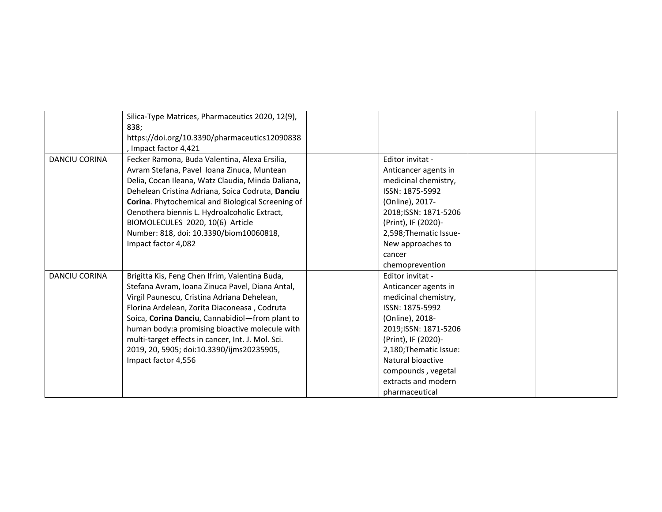|                      | Silica-Type Matrices, Pharmaceutics 2020, 12(9),<br>838;<br>https://doi.org/10.3390/pharmaceutics12090838<br>, Impact factor 4,421                                                                                                                                                                                                                                                                                             |                                                                                                                                                                                                                                                                      |  |
|----------------------|--------------------------------------------------------------------------------------------------------------------------------------------------------------------------------------------------------------------------------------------------------------------------------------------------------------------------------------------------------------------------------------------------------------------------------|----------------------------------------------------------------------------------------------------------------------------------------------------------------------------------------------------------------------------------------------------------------------|--|
| <b>DANCIU CORINA</b> | Fecker Ramona, Buda Valentina, Alexa Ersilia,<br>Avram Stefana, Pavel Ioana Zinuca, Muntean<br>Delia, Cocan Ileana, Watz Claudia, Minda Daliana,<br>Dehelean Cristina Adriana, Soica Codruta, Danciu<br>Corina. Phytochemical and Biological Screening of<br>Oenothera biennis L. Hydroalcoholic Extract,<br>BIOMOLECULES 2020, 10(6) Article<br>Number: 818, doi: 10.3390/biom10060818,<br>Impact factor 4,082                | Editor invitat -<br>Anticancer agents in<br>medicinal chemistry,<br>ISSN: 1875-5992<br>(Online), 2017-<br>2018; ISSN: 1871-5206<br>(Print), IF (2020)-<br>2,598; Thematic Issue-<br>New approaches to<br>cancer<br>chemoprevention                                   |  |
| DANCIU CORINA        | Brigitta Kis, Feng Chen Ifrim, Valentina Buda,<br>Stefana Avram, Ioana Zinuca Pavel, Diana Antal,<br>Virgil Paunescu, Cristina Adriana Dehelean,<br>Florina Ardelean, Zorita Diaconeasa, Codruta<br>Soica, Corina Danciu, Cannabidiol-from plant to<br>human body:a promising bioactive molecule with<br>multi-target effects in cancer, Int. J. Mol. Sci.<br>2019, 20, 5905; doi:10.3390/ijms20235905,<br>Impact factor 4,556 | Editor invitat -<br>Anticancer agents in<br>medicinal chemistry,<br>ISSN: 1875-5992<br>(Online), 2018-<br>2019; ISSN: 1871-5206<br>(Print), IF (2020)-<br>2,180; Thematic Issue:<br>Natural bioactive<br>compounds, vegetal<br>extracts and modern<br>pharmaceutical |  |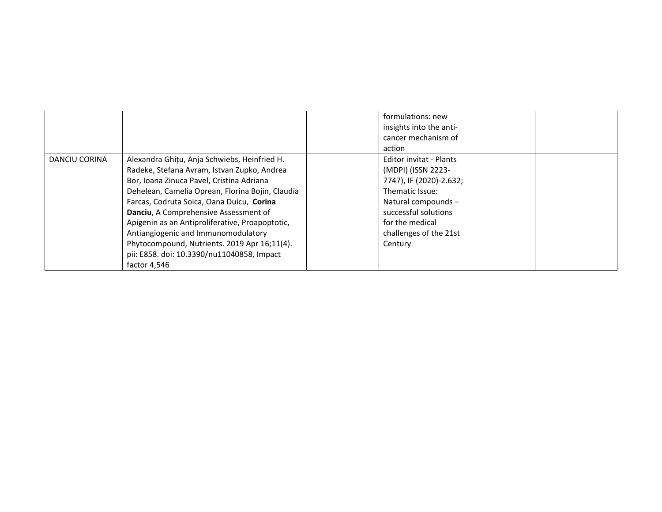|               |                                                  | formulations: new       |  |
|---------------|--------------------------------------------------|-------------------------|--|
|               |                                                  | insights into the anti- |  |
|               |                                                  | cancer mechanism of     |  |
|               |                                                  |                         |  |
|               |                                                  | action                  |  |
| DANCIU CORINA | Alexandra Ghițu, Anja Schwiebs, Heinfried H.     | Editor invitat - Plants |  |
|               | Radeke, Stefana Avram, Istvan Zupko, Andrea      | (MDPI) (ISSN 2223-      |  |
|               | Bor, Ioana Zinuca Pavel, Cristina Adriana        | 7747), IF (2020)-2.632; |  |
|               | Dehelean, Camelia Oprean, Florina Bojin, Claudia | Thematic Issue:         |  |
|               | Farcas, Codruta Soica, Oana Duicu, Corina        | Natural compounds -     |  |
|               | Danciu, A Comprehensive Assessment of            | successful solutions    |  |
|               | Apigenin as an Antiproliferative, Proapoptotic,  | for the medical         |  |
|               | Antiangiogenic and Immunomodulatory              | challenges of the 21st  |  |
|               | Phytocompound, Nutrients. 2019 Apr 16;11(4).     | Century                 |  |
|               | pii: E858. doi: 10.3390/nu11040858, Impact       |                         |  |
|               | factor 4.546                                     |                         |  |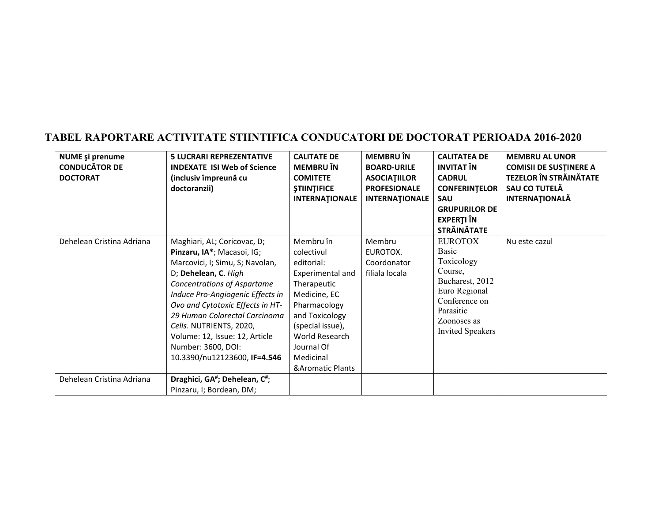| <b>NUME</b> și prenume<br><b>CONDUCĂTOR DE</b> | <b>5 LUCRARI REPREZENTATIVE</b><br><b>INDEXATE ISI Web of Science</b> | <b>CALITATE DE</b><br><b>MEMBRU</b> ÎN | <b>MEMBRU</b> ÎN<br><b>BOARD-URILE</b> | <b>CALITATEA DE</b><br><b>INVITAT ÎN</b> | <b>MEMBRU AL UNOR</b><br><b>COMISII DE SUSTINERE A</b> |
|------------------------------------------------|-----------------------------------------------------------------------|----------------------------------------|----------------------------------------|------------------------------------------|--------------------------------------------------------|
| <b>DOCTORAT</b>                                | (inclusiv împreună cu                                                 | <b>COMITETE</b>                        | <b>ASOCIATIILOR</b>                    | <b>CADRUL</b>                            | <b>TEZELOR ÎN STRĂINĂTATE</b>                          |
|                                                | doctoranzii)                                                          | <b><i>STIINTIFICE</i></b>              | <b>PROFESIONALE</b>                    | <b>CONFERINTELOR</b>                     | SAU CO TUTELĂ                                          |
|                                                |                                                                       | <b>INTERNATIONALE</b>                  | <b>INTERNATIONALE</b>                  | <b>SAU</b>                               | <b>INTERNATIONALĂ</b>                                  |
|                                                |                                                                       |                                        |                                        | <b>GRUPURILOR DE</b>                     |                                                        |
|                                                |                                                                       |                                        |                                        | <b>EXPERTI ÎN</b><br><b>STRĂINĂTATE</b>  |                                                        |
| Dehelean Cristina Adriana                      | Maghiari, AL; Coricovac, D;                                           | Membru în                              | Membru                                 | <b>EUROTOX</b>                           | Nu este cazul                                          |
|                                                | Pinzaru, IA*; Macasoi, IG;                                            | colectivul                             | EUROTOX.                               | Basic                                    |                                                        |
|                                                | Marcovici, I; Simu, S; Navolan,                                       | editorial:                             | Coordonator                            | Toxicology                               |                                                        |
|                                                | D; Dehelean, C. High                                                  | Experimental and                       | filiala locala                         | Course,                                  |                                                        |
|                                                | Concentrations of Aspartame                                           | Therapeutic                            |                                        | Bucharest, 2012                          |                                                        |
|                                                | Induce Pro-Angiogenic Effects in                                      | Medicine, EC                           |                                        | Euro Regional                            |                                                        |
|                                                | Ovo and Cytotoxic Effects in HT-                                      | Pharmacology                           |                                        | Conference on<br>Parasitic               |                                                        |
|                                                | 29 Human Colorectal Carcinoma                                         | and Toxicology                         |                                        | Zoonoses as                              |                                                        |
|                                                | Cells. NUTRIENTS, 2020,                                               | (special issue),                       |                                        | <b>Invited Speakers</b>                  |                                                        |
|                                                | Volume: 12, Issue: 12, Article                                        | World Research                         |                                        |                                          |                                                        |
|                                                | Number: 3600, DOI:                                                    | Journal Of                             |                                        |                                          |                                                        |
|                                                | 10.3390/nu12123600, IF=4.546                                          | Medicinal                              |                                        |                                          |                                                        |
|                                                |                                                                       | <b>&amp;Aromatic Plants</b>            |                                        |                                          |                                                        |
| Dehelean Cristina Adriana                      | Draghici, GA <sup>#</sup> ; Dehelean, C <sup>#</sup> ;                |                                        |                                        |                                          |                                                        |
|                                                | Pinzaru, I; Bordean, DM;                                              |                                        |                                        |                                          |                                                        |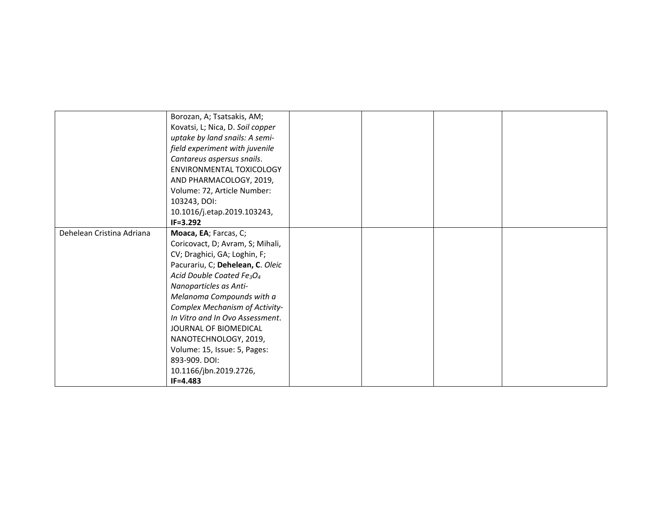|                           | Borozan, A; Tsatsakis, AM;                        |  |  |
|---------------------------|---------------------------------------------------|--|--|
|                           | Kovatsi, L; Nica, D. Soil copper                  |  |  |
|                           | uptake by land snails: A semi-                    |  |  |
|                           | field experiment with juvenile                    |  |  |
|                           | Cantareus aspersus snails.                        |  |  |
|                           | ENVIRONMENTAL TOXICOLOGY                          |  |  |
|                           | AND PHARMACOLOGY, 2019,                           |  |  |
|                           | Volume: 72, Article Number:                       |  |  |
|                           | 103243, DOI:                                      |  |  |
|                           | 10.1016/j.etap.2019.103243,                       |  |  |
|                           | $IF = 3.292$                                      |  |  |
| Dehelean Cristina Adriana | Moaca, EA; Farcas, C;                             |  |  |
|                           | Coricovact, D; Avram, S; Mihali,                  |  |  |
|                           | CV; Draghici, GA; Loghin, F;                      |  |  |
|                           | Pacurariu, C; Dehelean, C. Oleic                  |  |  |
|                           | Acid Double Coated Fe <sub>3</sub> O <sub>4</sub> |  |  |
|                           | Nanoparticles as Anti-                            |  |  |
|                           | Melanoma Compounds with a                         |  |  |
|                           | Complex Mechanism of Activity-                    |  |  |
|                           | In Vitro and In Ovo Assessment.                   |  |  |
|                           | JOURNAL OF BIOMEDICAL                             |  |  |
|                           | NANOTECHNOLOGY, 2019,                             |  |  |
|                           | Volume: 15, Issue: 5, Pages:                      |  |  |
|                           | 893-909, DOI:                                     |  |  |
|                           | 10.1166/jbn.2019.2726,                            |  |  |
|                           | $IF = 4.483$                                      |  |  |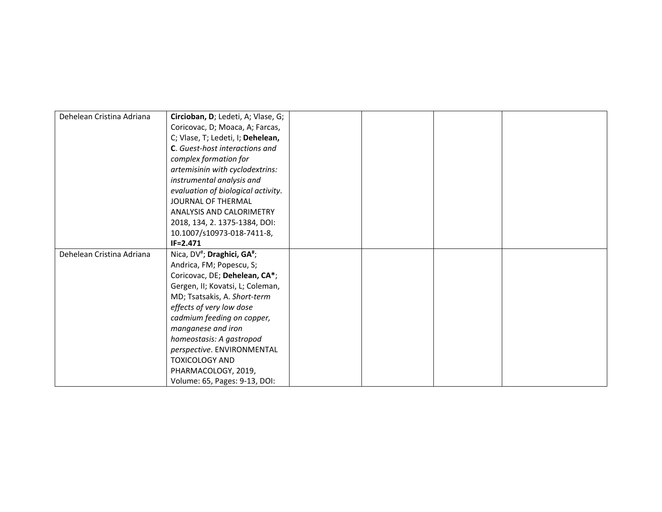| Dehelean Cristina Adriana | Circioban, D; Ledeti, A; Vlase, G;                  |  |  |
|---------------------------|-----------------------------------------------------|--|--|
|                           | Coricovac, D; Moaca, A; Farcas,                     |  |  |
|                           | C; Vlase, T; Ledeti, I; Dehelean,                   |  |  |
|                           | <b>C.</b> Guest-host interactions and               |  |  |
|                           | complex formation for                               |  |  |
|                           | artemisinin with cyclodextrins:                     |  |  |
|                           | instrumental analysis and                           |  |  |
|                           | evaluation of biological activity.                  |  |  |
|                           | JOURNAL OF THERMAL                                  |  |  |
|                           | <b>ANALYSIS AND CALORIMETRY</b>                     |  |  |
|                           | 2018, 134, 2. 1375-1384, DOI:                       |  |  |
|                           | 10.1007/s10973-018-7411-8,                          |  |  |
|                           | $IF = 2.471$                                        |  |  |
| Dehelean Cristina Adriana | Nica, DV <sup>#</sup> ; Draghici, GA <sup>#</sup> ; |  |  |
|                           | Andrica, FM; Popescu, S;                            |  |  |
|                           | Coricovac, DE; Dehelean, CA*;                       |  |  |
|                           | Gergen, II; Kovatsi, L; Coleman,                    |  |  |
|                           | MD; Tsatsakis, A. Short-term                        |  |  |
|                           | effects of very low dose                            |  |  |
|                           | cadmium feeding on copper,                          |  |  |
|                           | manganese and iron                                  |  |  |
|                           | homeostasis: A gastropod                            |  |  |
|                           | perspective. ENVIRONMENTAL                          |  |  |
|                           | <b>TOXICOLOGY AND</b>                               |  |  |
|                           | PHARMACOLOGY, 2019,                                 |  |  |
|                           | Volume: 65, Pages: 9-13, DOI:                       |  |  |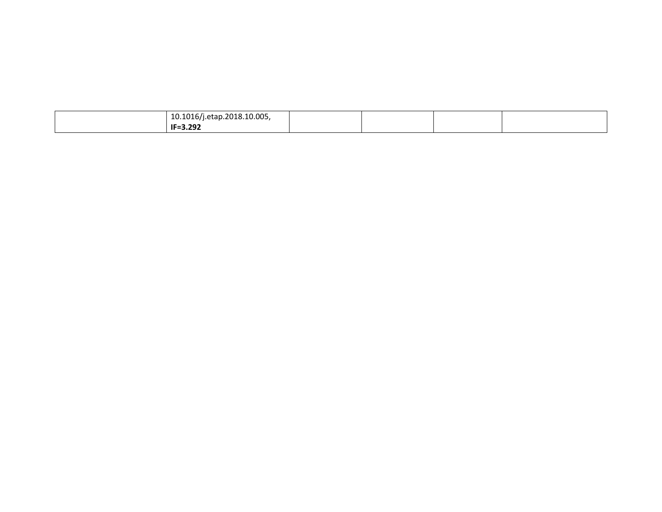| $10.1016$ /j.etap.2018.10.005, |  |  |
|--------------------------------|--|--|
| IF=3.292                       |  |  |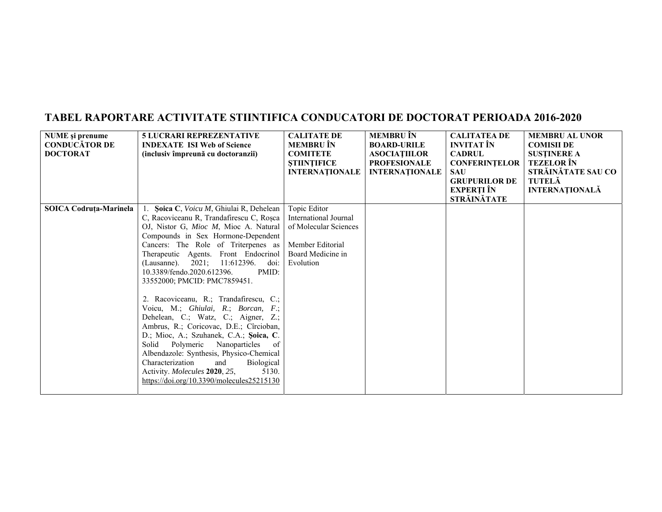| NUME și prenume        | <b>5 LUCRARI REPREZENTATIVE</b>            | <b>CALITATE DE</b>    | <b>MEMBRU</b> ÎN      | <b>CALITATEA DE</b>  | <b>MEMBRU AL UNOR</b> |
|------------------------|--------------------------------------------|-----------------------|-----------------------|----------------------|-----------------------|
| <b>CONDUCĂTOR DE</b>   | <b>INDEXATE ISI Web of Science</b>         | MEMBRU ÎN             | <b>BOARD-URILE</b>    | <b>INVITAT</b> ÎN    | <b>COMISII DE</b>     |
| <b>DOCTORAT</b>        | (inclusiv împreună cu doctoranzii)         | <b>COMITETE</b>       | <b>ASOCIATIILOR</b>   | <b>CADRUL</b>        | <b>SUSTINERE A</b>    |
|                        |                                            | <b>STIINTIFICE</b>    | <b>PROFESIONALE</b>   | <b>CONFERINTELOR</b> | <b>TEZELOR</b> ÎN     |
|                        |                                            | <b>INTERNATIONALE</b> | <b>INTERNATIONALE</b> | <b>SAU</b>           | STRĂINĂTATE SAU CO    |
|                        |                                            |                       |                       | <b>GRUPURILOR DE</b> | <b>TUTELĂ</b>         |
|                        |                                            |                       |                       | EXPERȚI ÎN           | <b>INTERNAȚIONALĂ</b> |
|                        |                                            |                       |                       | STRĂINĂTATE          |                       |
| SOICA Codruța-Marinela | Soica C, Voicu M, Ghiulai R, Dehelean      | Topic Editor          |                       |                      |                       |
|                        | C, Racoviceanu R, Trandafirescu C, Roșca   | International Journal |                       |                      |                       |
|                        | OJ, Nistor G, Mioc M, Mioc A. Natural      | of Molecular Sciences |                       |                      |                       |
|                        | Compounds in Sex Hormone-Dependent         |                       |                       |                      |                       |
|                        | Cancers: The Role of Triterpenes as        | Member Editorial      |                       |                      |                       |
|                        | Therapeutic Agents. Front Endocrinol       | Board Medicine in     |                       |                      |                       |
|                        | 2021;<br>11:612396.<br>doi:<br>(Lausanne). | Evolution             |                       |                      |                       |
|                        | PMID:<br>10.3389/fendo.2020.612396.        |                       |                       |                      |                       |
|                        | 33552000; PMCID: PMC7859451.               |                       |                       |                      |                       |
|                        |                                            |                       |                       |                      |                       |
|                        | 2. Racoviceanu, R.; Trandafirescu, C.;     |                       |                       |                      |                       |
|                        | Voicu, M.; Ghiulai, R.; Borcan, F.;        |                       |                       |                      |                       |
|                        | Dehelean, C.; Watz, C.; Aigner, Z.;        |                       |                       |                      |                       |
|                        | Ambrus, R.; Coricovac, D.E.; Cîrcioban,    |                       |                       |                      |                       |
|                        | D.; Mioc, A.; Szuhanek, C.A.; Şoica, C.    |                       |                       |                      |                       |
|                        | Solid Polymeric Nanoparticles<br>of        |                       |                       |                      |                       |
|                        | Albendazole: Synthesis, Physico-Chemical   |                       |                       |                      |                       |
|                        | Characterization<br>Biological<br>and      |                       |                       |                      |                       |
|                        | 5130.<br>Activity. Molecules 2020, 25,     |                       |                       |                      |                       |
|                        | https://doi.org/10.3390/molecules25215130  |                       |                       |                      |                       |
|                        |                                            |                       |                       |                      |                       |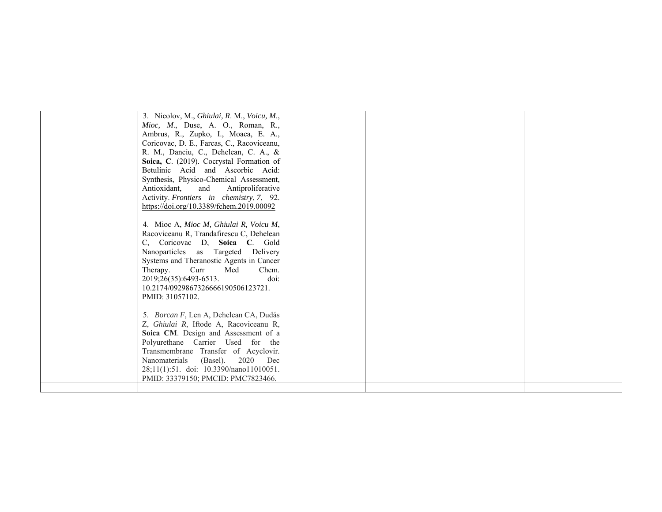| 3. Nicolov, M., Ghiulai, R. M., Voicu, M.,<br>Mioc, M., Duse, A. O., Roman, R.,<br>Ambrus, R., Zupko, I., Moaca, E. A.,<br>Coricovac, D. E., Farcas, C., Racoviceanu,<br>R. M., Danciu, C., Dehelean, C. A., &<br>Soica, C. (2019). Cocrystal Formation of<br>Betulinic Acid and Ascorbic Acid:<br>Synthesis, Physico-Chemical Assessment,<br>Antioxidant,<br>and Antiproliferative<br>Activity. Frontiers in chemistry, 7, 92. |  |  |
|---------------------------------------------------------------------------------------------------------------------------------------------------------------------------------------------------------------------------------------------------------------------------------------------------------------------------------------------------------------------------------------------------------------------------------|--|--|
| https://doi.org/10.3389/fchem.2019.00092<br>4. Mioc A, Mioc M, Ghiulai R, Voicu M,<br>Racoviceanu R, Trandafirescu C, Dehelean<br>C, Coricovac D, Soica C. Gold<br>Nanoparticles as Targeted Delivery<br>Systems and Theranostic Agents in Cancer<br>Therapy.<br>Curr<br>Med<br>Chem.<br>doi:<br>2019;26(35):6493-6513.<br>10.2174/0929867326666190506123721.<br>PMID: 31057102.                                                |  |  |
| 5. Borcan F, Len A, Dehelean CA, Dudás<br>Z, Ghiulai R, Iftode A, Racoviceanu R,<br>Soica CM. Design and Assessment of a<br>Polyurethane Carrier Used for the<br>Transmembrane Transfer of Acyclovir.<br>Nanomaterials<br>2020 Dec<br>(Basel).<br>28;11(1):51. doi: 10.3390/nano11010051.<br>PMID: 33379150; PMCID: PMC7823466.                                                                                                 |  |  |
|                                                                                                                                                                                                                                                                                                                                                                                                                                 |  |  |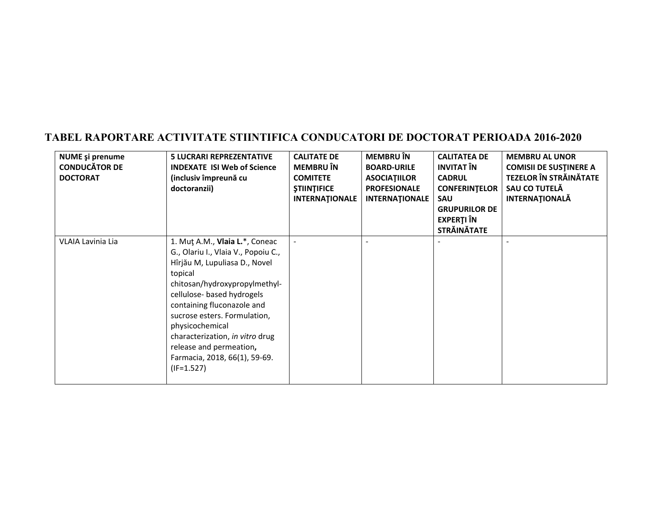| <b>NUME</b> și prenume<br><b>CONDUCĂTOR DE</b><br><b>DOCTORAT</b> | <b>5 LUCRARI REPREZENTATIVE</b><br><b>INDEXATE ISI Web of Science</b><br>(inclusiv împreună cu<br>doctoranzii)                                                                                                                                                                                                                                                                   | <b>CALITATE DE</b><br><b>MEMBRU</b> ÎN<br><b>COMITETE</b><br><b><i>STIINTIFICE</i></b><br><b>INTERNATIONALE</b> | <b>MEMBRU</b> ÎN<br><b>BOARD-URILE</b><br><b>ASOCIATIILOR</b><br><b>PROFESIONALE</b><br><b>INTERNATIONALE</b> | <b>CALITATEA DE</b><br><b>INVITAT ÎN</b><br><b>CADRUL</b><br><b>CONFERINTELOR</b><br>SAU<br><b>GRUPURILOR DE</b><br><b>EXPERTI ÎN</b><br><b>STRĂINĂTATE</b> | <b>MEMBRU AL UNOR</b><br><b>COMISII DE SUSTINERE A</b><br><b>TEZELOR ÎN STRĂINĂTATE</b><br>SAU CO TUTELĂ<br><b>INTERNAȚIONALĂ</b> |
|-------------------------------------------------------------------|----------------------------------------------------------------------------------------------------------------------------------------------------------------------------------------------------------------------------------------------------------------------------------------------------------------------------------------------------------------------------------|-----------------------------------------------------------------------------------------------------------------|---------------------------------------------------------------------------------------------------------------|-------------------------------------------------------------------------------------------------------------------------------------------------------------|-----------------------------------------------------------------------------------------------------------------------------------|
| VLAIA Lavinia Lia                                                 | 1. Mut A.M., Vlaia L.*, Coneac<br>G., Olariu I., Vlaia V., Popoiu C.,<br>Hîrjău M, Lupuliasa D., Novel<br>topical<br>chitosan/hydroxypropylmethyl-<br>cellulose- based hydrogels<br>containing fluconazole and<br>sucrose esters. Formulation,<br>physicochemical<br>characterization, in vitro drug<br>release and permeation,<br>Farmacia, 2018, 66(1), 59-69.<br>$(IF=1.527)$ |                                                                                                                 |                                                                                                               |                                                                                                                                                             |                                                                                                                                   |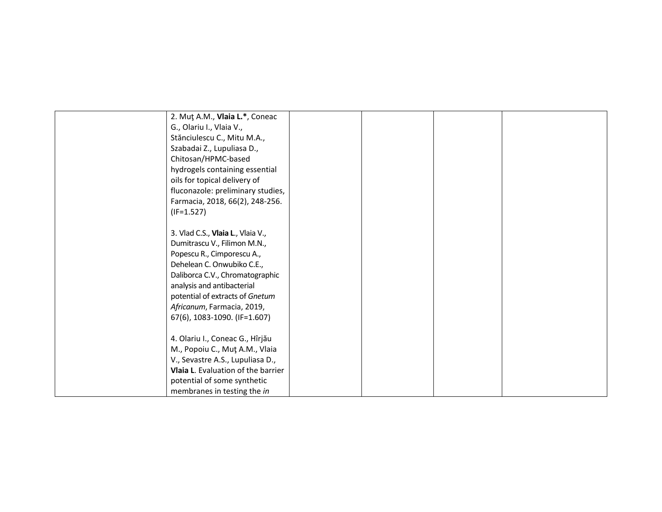| 2. Mut A.M., Vlaia L.*, Coneac     |  |  |
|------------------------------------|--|--|
| G., Olariu I., Vlaia V.,           |  |  |
| Stănciulescu C., Mitu M.A.,        |  |  |
| Szabadai Z., Lupuliasa D.,         |  |  |
| Chitosan/HPMC-based                |  |  |
| hydrogels containing essential     |  |  |
| oils for topical delivery of       |  |  |
| fluconazole: preliminary studies,  |  |  |
| Farmacia, 2018, 66(2), 248-256.    |  |  |
| $(IF=1.527)$                       |  |  |
|                                    |  |  |
| 3. Vlad C.S., Vlaia L., Vlaia V.,  |  |  |
| Dumitrascu V., Filimon M.N.,       |  |  |
| Popescu R., Cimporescu A.,         |  |  |
| Dehelean C. Onwubiko C.E.,         |  |  |
| Daliborca C.V., Chromatographic    |  |  |
| analysis and antibacterial         |  |  |
| potential of extracts of Gnetum    |  |  |
| Africanum, Farmacia, 2019,         |  |  |
| 67(6), 1083-1090. (IF=1.607)       |  |  |
|                                    |  |  |
| 4. Olariu I., Coneac G., Hîrjău    |  |  |
| M., Popoiu C., Mut A.M., Vlaia     |  |  |
| V., Sevastre A.S., Lupuliasa D.,   |  |  |
| Vlaia L. Evaluation of the barrier |  |  |
| potential of some synthetic        |  |  |
| membranes in testing the in        |  |  |